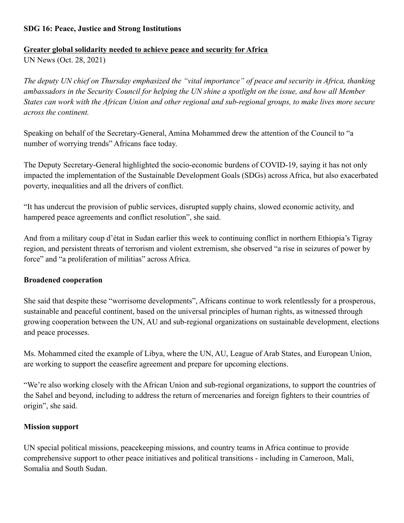#### **SDG 16: Peace, Justice and Strong Institutions**

# **Greater global solidarity needed to achieve peace and security for Africa**

UN News (Oct. 28, 2021)

*The deputy UN chief on Thursday emphasized the "vital importance" of peace and security in Africa, thanking ambassadors in the Security Council for helping the UN shine a spotlight on the issue, and how all Member States can work with the African Union and other regional and sub-regional groups, to make lives more secure across the continent.*

Speaking on behalf of the Secretary-General, Amina Mohammed drew the attention of the Council to "a number of worrying trends" Africans face today.

The Deputy Secretary-General highlighted the socio-economic burdens of COVID-19, saying it has not only impacted the implementation of the Sustainable Development Goals (SDGs) across Africa, but also exacerbated poverty, inequalities and all the drivers of conflict.

"It has undercut the provision of public services, disrupted supply chains, slowed economic activity, and hampered peace agreements and conflict resolution", she said.

And from a military coup d'état in Sudan earlier this week to continuing conflict in northern Ethiopia's Tigray region, and persistent threats of terrorism and violent extremism, she observed "a rise in seizures of power by force" and "a proliferation of militias" across Africa.

### **Broadened cooperation**

She said that despite these "worrisome developments", Africans continue to work relentlessly for a prosperous, sustainable and peaceful continent, based on the universal principles of human rights, as witnessed through growing cooperation between the UN, AU and sub-regional organizations on sustainable development, elections and peace processes.

Ms. Mohammed cited the example of Libya, where the UN, AU, League of Arab States, and European Union, are working to support the ceasefire agreement and prepare for upcoming elections.

"We're also working closely with the African Union and sub-regional organizations, to support the countries of the Sahel and beyond, including to address the return of mercenaries and foreign fighters to their countries of origin", she said.

### **Mission support**

UN special political missions, peacekeeping missions, and country teams in Africa continue to provide comprehensive support to other peace initiatives and political transitions - including in Cameroon, Mali, Somalia and South Sudan.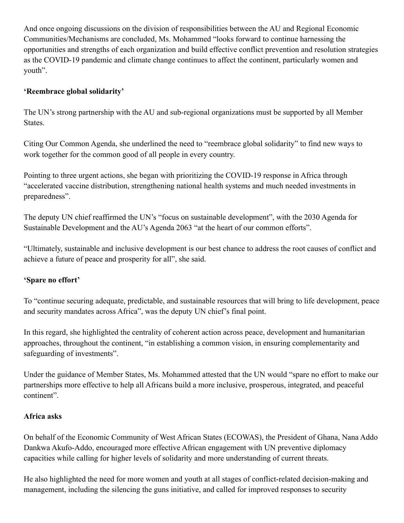And once ongoing discussions on the division of responsibilities between the AU and Regional Economic Communities/Mechanisms are concluded, Ms. Mohammed "looks forward to continue harnessing the opportunities and strengths of each organization and build effective conflict prevention and resolution strategies as the COVID-19 pandemic and climate change continues to affect the continent, particularly women and youth".

### **'Reembrace global solidarity'**

The UN's strong partnership with the AU and sub-regional organizations must be supported by all Member States.

Citing Our Common Agenda, she underlined the need to "reembrace global solidarity" to find new ways to work together for the common good of all people in every country.

Pointing to three urgent actions, she began with prioritizing the COVID-19 response in Africa through "accelerated vaccine distribution, strengthening national health systems and much needed investments in preparedness".

The deputy UN chief reaffirmed the UN's "focus on sustainable development", with the 2030 Agenda for Sustainable Development and the AU's Agenda 2063 "at the heart of our common efforts".

"Ultimately, sustainable and inclusive development is our best chance to address the root causes of conflict and achieve a future of peace and prosperity for all", she said.

# **'Spare no effort'**

To "continue securing adequate, predictable, and sustainable resources that will bring to life development, peace and security mandates across Africa", was the deputy UN chief's final point.

In this regard, she highlighted the centrality of coherent action across peace, development and humanitarian approaches, throughout the continent, "in establishing a common vision, in ensuring complementarity and safeguarding of investments".

Under the guidance of Member States, Ms. Mohammed attested that the UN would "spare no effort to make our partnerships more effective to help all Africans build a more inclusive, prosperous, integrated, and peaceful continent".

### **Africa asks**

On behalf of the Economic Community of West African States (ECOWAS), the President of Ghana, Nana Addo Dankwa Akufo-Addo, encouraged more effective African engagement with UN preventive diplomacy capacities while calling for higher levels of solidarity and more understanding of current threats.

He also highlighted the need for more women and youth at all stages of conflict-related decision-making and management, including the silencing the guns initiative, and called for improved responses to security